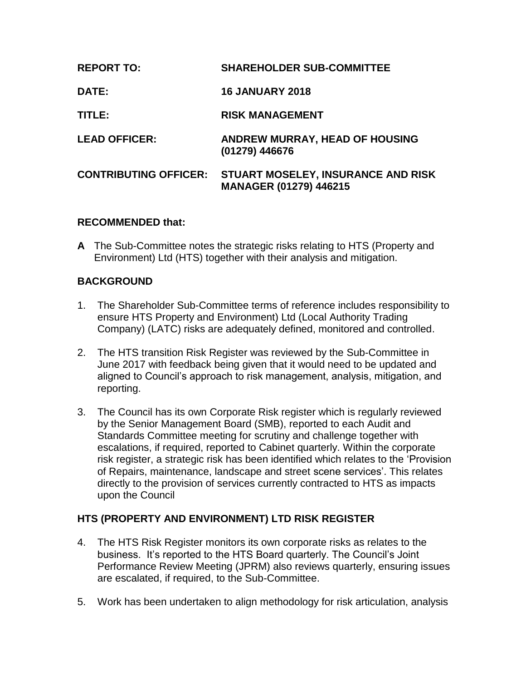| <b>REPORT TO:</b>            | <b>SHAREHOLDER SUB-COMMITTEE</b>                             |
|------------------------------|--------------------------------------------------------------|
| <b>DATE:</b>                 | <b>16 JANUARY 2018</b>                                       |
| TITLE:                       | <b>RISK MANAGEMENT</b>                                       |
| <b>LEAD OFFICER:</b>         | ANDREW MURRAY, HEAD OF HOUSING<br>(01279) 446676             |
| <b>CONTRIBUTING OFFICER:</b> | STUART MOSELEY, INSURANCE AND RISK<br>MANAGER (01279) 446215 |

### **RECOMMENDED that:**

**A** The Sub-Committee notes the strategic risks relating to HTS (Property and Environment) Ltd (HTS) together with their analysis and mitigation.

### **BACKGROUND**

- 1. The Shareholder Sub-Committee terms of reference includes responsibility to ensure HTS Property and Environment) Ltd (Local Authority Trading Company) (LATC) risks are adequately defined, monitored and controlled.
- 2. The HTS transition Risk Register was reviewed by the Sub-Committee in June 2017 with feedback being given that it would need to be updated and aligned to Council's approach to risk management, analysis, mitigation, and reporting.
- 3. The Council has its own Corporate Risk register which is regularly reviewed by the Senior Management Board (SMB), reported to each Audit and Standards Committee meeting for scrutiny and challenge together with escalations, if required, reported to Cabinet quarterly. Within the corporate risk register, a strategic risk has been identified which relates to the 'Provision of Repairs, maintenance, landscape and street scene services'. This relates directly to the provision of services currently contracted to HTS as impacts upon the Council

## **HTS (PROPERTY AND ENVIRONMENT) LTD RISK REGISTER**

- 4. The HTS Risk Register monitors its own corporate risks as relates to the business. It's reported to the HTS Board quarterly. The Council's Joint Performance Review Meeting (JPRM) also reviews quarterly, ensuring issues are escalated, if required, to the Sub-Committee.
- 5. Work has been undertaken to align methodology for risk articulation, analysis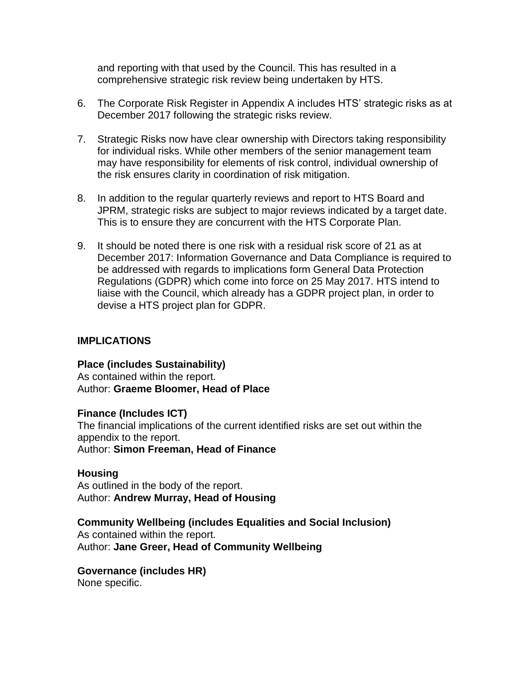and reporting with that used by the Council. This has resulted in a comprehensive strategic risk review being undertaken by HTS.

- 6. The Corporate Risk Register in Appendix A includes HTS' strategic risks as at December 2017 following the strategic risks review.
- 7. Strategic Risks now have clear ownership with Directors taking responsibility for individual risks. While other members of the senior management team may have responsibility for elements of risk control, individual ownership of the risk ensures clarity in coordination of risk mitigation.
- 8. In addition to the regular quarterly reviews and report to HTS Board and JPRM, strategic risks are subject to major reviews indicated by a target date. This is to ensure they are concurrent with the HTS Corporate Plan.
- 9. It should be noted there is one risk with a residual risk score of 21 as at December 2017: Information Governance and Data Compliance is required to be addressed with regards to implications form General Data Protection Regulations (GDPR) which come into force on 25 May 2017. HTS intend to liaise with the Council, which already has a GDPR project plan, in order to devise a HTS project plan for GDPR.

### **IMPLICATIONS**

**Place (includes Sustainability)** As contained within the report. Author: **Graeme Bloomer, Head of Place**

### **Finance (Includes ICT)**

The financial implications of the current identified risks are set out within the appendix to the report. Author: **Simon Freeman, Head of Finance**

**Housing** As outlined in the body of the report.

Author: **Andrew Murray, Head of Housing**

## **Community Wellbeing (includes Equalities and Social Inclusion)**

As contained within the report. Author: **Jane Greer, Head of Community Wellbeing**

# **Governance (includes HR)**

None specific.